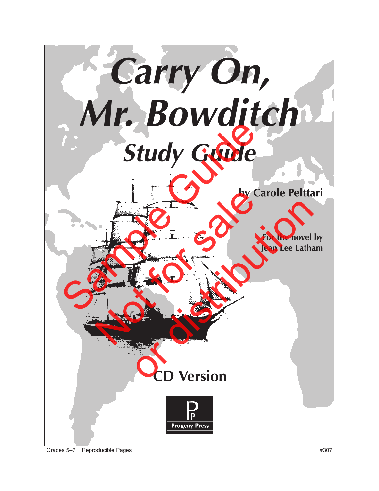

Grades 5–7 Reproducible Pages #307 (1999) 307 (1999) 307 (1999) 307 (1999) 307 (1999) 4307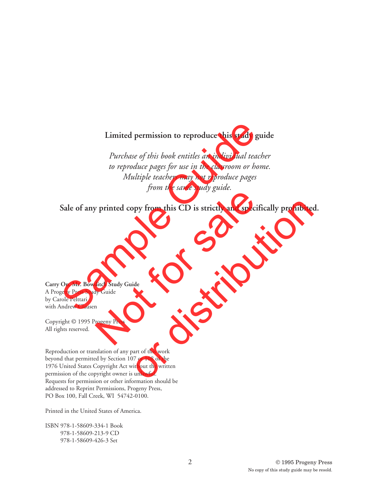#### **Limited permission to reproduce this study guide**

*Purchase of this book entitles an individual teacher to reproduce pages for use in the classroom or home. Multiple teachers may not reproduce pages from the same study guide.* Limited permission to reproduce this study gui<br>
Purchase of this book entitles an individual teach,<br>
to reproduce pages for use in the classroom or hom<br>
Multiple teachers may not reproduce pages<br>
from the same study guide.

**Sale of any printed copy from this CD is strictly and specifically prohibited.** of printed copy from this CD is strictly and specific<br>ditch Study Guide<br>ditch Study Guide<br>py Guide<br>n<br>crogeny Press ppy from this CD is strictly and specifically prohibited<br>ide<br>distribution of this work<br>and of this work<br>of a to the written<br>unlawful.

**Carry On, Mr. Bowditch Study Guide** A Progeny Press Study Guide by Carole Pelttari with Andrew Clausen

Copyright © 1995 Progeny Press All rights reserved.

Reproduction or translation of any part of this work beyond that permitted by Section 107 or 108 of the 1976 United States Copyright Act without the written permission of the copyright owner is unlawful. Requests for permission or other information should be addressed to Reprint Permissions, Progeny Press, PO Box 100, Fall Creek, WI 54742-0100.

Printed in the United States of America.

ISBN 978-1-58609-334-1 Book 978-1-58609-213-9 CD 978-1-58609-426-3 Set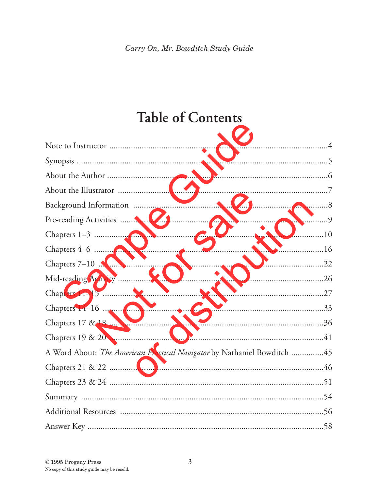# **Table of Contents**

| A Word About: The American Practical Navigator by Nathaniel Bowditch 45 |  |
|-------------------------------------------------------------------------|--|
|                                                                         |  |
|                                                                         |  |
|                                                                         |  |
|                                                                         |  |
|                                                                         |  |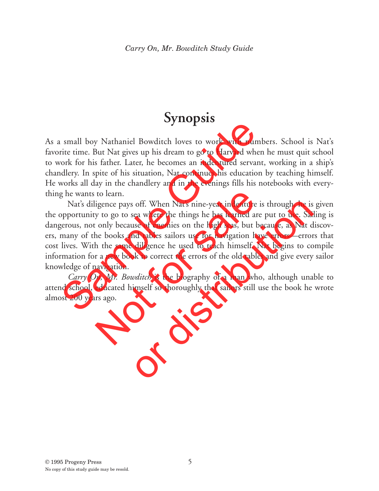# **Synopsis**

As a small boy Nathaniel Bowditch loves to work with numbers. School is Nat's favorite time. But Nat gives up his dream to go to Harvard when he must quit school to work for his father. Later, he becomes an indentured servant, working in a ship's chandlery. In spite of his situation, Nat continues his education by teaching himself. He works all day in the chandlery and in the evenings fills his notebooks with everything he wants to learn.

Nat's diligence pays off. When Nat's nine-year indenture is through, he is given the opportunity to go to sea where the things he has learned are put to use. Sailing is dangerous, not only because of enemies on the high seas, but because, as Nat discovers, many of the books and tables sailors use for navigation have errors—errors that cost lives. With the same diligence he used to teach himself, Nat begins to compile information for a new book to correct the errors of the old tables and give every sailor knowledge of navigation. Solution I and loop Nathaniel Bowditch loves to work with numb<br>rite time. But Nat gives up his dream to go to Harvard when<br>rork for his father. Later, he becomes an indentured servant,<br>order his situation in the chandlery to learn.<br>
igence pays off. When Nat's nine-year indenture is<br>
y to go to sea where the things he has learned are<br>
conly because of enemies on the high seas, but bee<br>
he books and tables sailors use for navigation have<br>
h off. When Nat's nine-year indenture is through, he is<br>cea where the things he has learned are put to use. Sail<br>see of enemies on the high seas, but because, as Nat d<br>nd tables sailors use for navigation have errors—error<br>

*Carry On, Mr. Bowditch* is the biography of a man who, although unable to attend school, educated himself so thoroughly that sailors still use the book he wrote almost 200 years ago.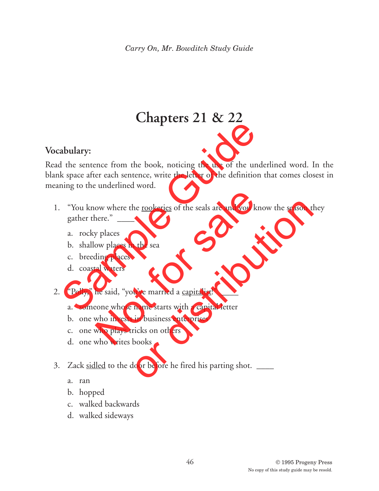# **Chapters 21 & 22**

### **Vocabulary:**

Read the sentence from the book, noticing the use of the underlined word. In the blank space after each sentence, write the letter of the definition that comes closest in meaning to the underlined word. abulary:<br>
abulary:<br>
d the sentence from the book, noticing the use of the unde<br>
k space after each sentence, write the letter of the definition<br>
ining to the underlined word.<br>
"You know where the <u>rookeries</u> of the seals a

- 1. "You know where the rookeries of the seals are and you know the season they gather there." ow where the <u>rookeries</u> of the seals are and you know<br>pere."<br>y places<br>wo places<br>in the sea<br>ding places<br>and waters<br>he said, "you've married a <u>capitalist</u>!"<br>cone whose name starts with a capital letter<br>who invests in busin The modernies of the seals are and you know the season the seals of the seals are and you know the season the seal<br>of the seal of the seal of the seal of the seal of the seal of the seal<br>in business enterprises wicks on ot
	- a. rocky places
	- b. shallow places in the sea
	- c. breeding places
	- d. coastal waters
- 2. "Polly," he said, "you've married a capitalist!"
	- a. someone whose name starts with a capital letter
	- b. one who invests in business enterprises
	- c. one who plays tricks on others
	- d. one who writes books
- 3. Zack sidled to the door before he fired his parting shot.
	- a. ran
	- b. hopped
	- c. walked backwards
	- d. walked sideways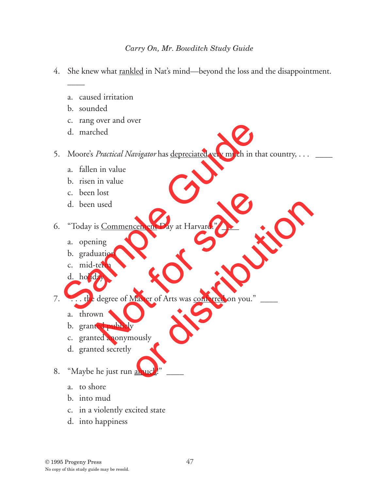- 4. She knew what rankled in Nat's mind—beyond the loss and the disappointment.
	- a. caused irritation
	- b. sounded

 $\overline{\phantom{a}}$ 

- c. rang over and over
- d. marched
- 5. Moore's *Practical Navigator* has <u>depreciated</u> very much in that country, . . . \_\_\_\_\_ C. Tang over and over<br>
d. marched<br>
Moore's *Practical Navigator* has <u>depreciated</u> very much in tha<br>
a. fallen in value<br>
b. risen in value<br>
c. been lost<br>
d. been used<br>
"Today is <u>Commencement</u> Day at Harvard." \_\_\_\_\_\_\_\_\_\_\_\_
	- a. fallen in value
	- b. risen in value
	- c. been lost
	- d. been used

6. "Today is Commencement Day at Harvard." \_\_\_\_

- a. opening
- b. graduation
- c. mid-term
- d. holiday

7. "... the degree of Master of Arts was conferred on you." Not for sale or distribution

- a. thrown
- b. granted publicly
- c. granted anonymously
- d. granted secretly

### 8. "Maybe he just run amuck!"

- a. to shore
- b. into mud
- c. in a violently excited state
- d. into happiness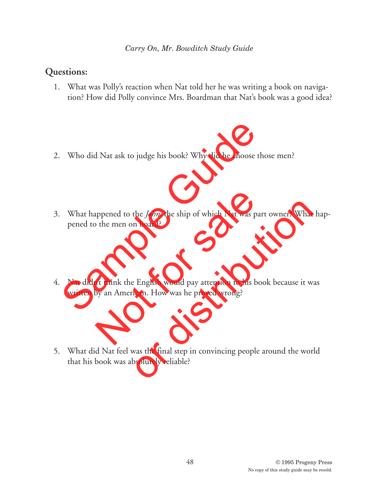#### *Carry On, Mr. Bowditch Study Guide*

### **Questions:**

- 1. What was Polly's reaction when Nat told her he was writing a book on navigation? How did Polly convince Mrs. Boardman that Nat's book was a good idea?
- 2. Who did Nat ask to judge his book? Why did he choose those men?
- 3. What happened to the *John,* the ship of which Nat was part owner? What happened to the men on board? Who did Nat ask to judge his book? Why did he choose the<br>What happened to the *John*, the ship of which Nat was part<br>pened to the men on board?<br>Nat didn't think the English would pay attention to his boo<br>written by an Amer appened to the *John,* the ship of which Nat was part<br>of the men on board?<br>n't think the English would pay attention to his boo<br>by an American. How was he proved wrong? the *John*, the ship of which Nat was part owner? What<br>n board?<br>e English would pay attention to his book because it w:<br>ican. How was he proved wrong?<br>was the final step in convincing people around the wor.<br>bsolutely relia
- 4. Nat didn't think the English would pay attention to his book because it was written by an American. How was he proved wrong?
- 5. What did Nat feel was the final step in convincing people around the world that his book was absolutely reliable?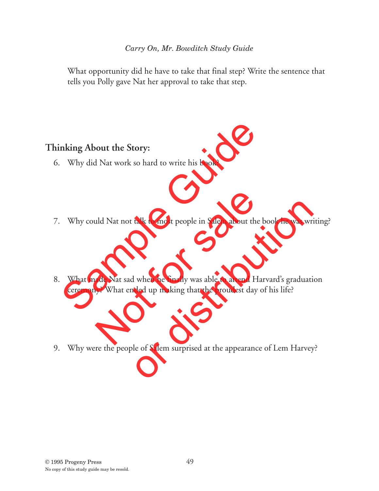What opportunity did he have to take that final step? Write the sentence that tells you Polly gave Nat her approval to take that step.

### **Thinking About the Story:**

- 6. Why did Nat work so hard to write his book?
- 7. Why could Nat not talk to most people in Salem about the book he was writing?
- 8. What made Nat sad when he finally was able to attend Harvard's graduation ceremony? What ended up making that the proudest day of his life? nking About the Story:<br>Why did Nat work so hard to write his book?<br>Why could Nat not talk to most people in Salem about the b<br>What made Nat sad when he finally was able to attend Har<br>ceremony? What ended up making that the uld Nat not talk to most people in Salem about the b<br>ade Nat sad when he finally was able to attend Har<br>y? What ended up making that the proudest day o talk to most people in Salem about the book he was wri<br>ded up making that the proudest day of his life?<br>ded up making that the proudest day of his life?<br>le of Salem surprised at the appearance of Lem Harvey
- 9. Why were the people of Salem surprised at the appearance of Lem Harvey?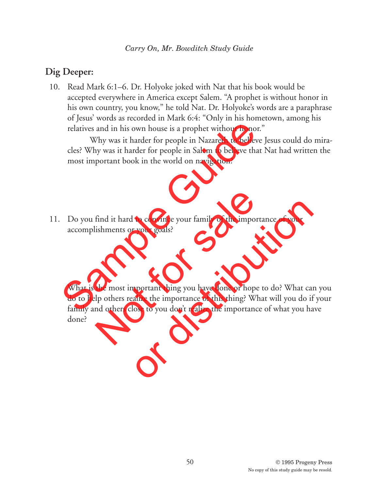## **Dig Deeper:**

10. Read Mark 6:1–6. Dr. Holyoke joked with Nat that his book would be accepted everywhere in America except Salem. "A prophet is without honor in his own country, you know," he told Nat. Dr. Holyoke's words are a paraphrase of Jesus' words as recorded in Mark 6:4: "Only in his hometown, among his relatives and in his own house is a prophet without honor."

Why was it harder for people in Nazareth to believe Jesus could do miracles? Why was it harder for people in Salem to believe that Nat had written the most important book in the world on navigation? relatives and in his own house is a prophet without honor."<br>
Why was it harder for people in Nazareth to believe<br>
cles? Why was it harder for people in Salem to believe that l<br>
most important book in the world on navigatio

11. Do you find it hard to convince your family of the importance of your accomplishments or your goals?

What is the most important thing you have done or hope to do? What can you do to help others realize the importance of this thing? What will you do if your family and others close to you don't realize the importance of what you have done? find it hard to convince your family of the importa<br>ishments or your goals?<br>the most important thing you have done or hope t<br>ip others realize the importance of this thing? What<br>and others close to you don't realize the im to convince your family of the importance of your<br>vour goals?<br>proportant thing you have done or hope to do? What can<br>alize the importance of this thing? What will you do if<br>lose to you don't realize the importance of what